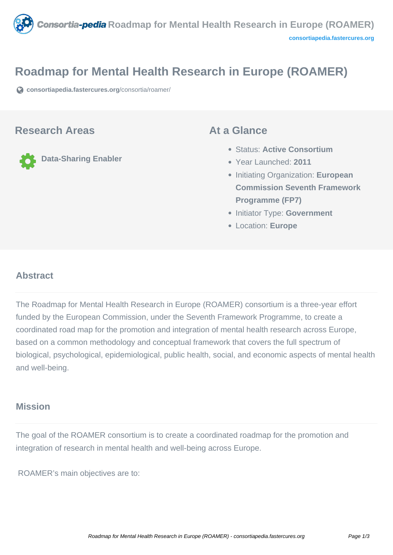

# **Roadmap for Mental Health Research in Europe (ROAMER)**

**[consortiapedia.fastercures.org](https://consortiapedia.fastercures.org/consortia/roamer/)**[/consortia/roamer/](https://consortiapedia.fastercures.org/consortia/roamer/)

#### **Research Areas**

**Data-Sharing Enabler**

### **At a Glance**

- Status: **Active Consortium**
- Year Launched: **2011**
- **Initiating Organization: European Commission Seventh Framework Programme (FP7)**
- **Initiator Type: Government**
- Location: **Europe**

#### $\overline{a}$ **Abstract**

The Roadmap for Mental Health Research in Europe (ROAMER) consortium is a three-year effort funded by the European Commission, under the Seventh Framework Programme, to create a coordinated road map for the promotion and integration of mental health research across Europe, based on a common methodology and conceptual framework that covers the full spectrum of biological, psychological, epidemiological, public health, social, and economic aspects of mental health and well-being.

## **Mission**

The goal of the ROAMER consortium is to create a coordinated roadmap for the promotion and integration of research in mental health and well-being across Europe.

ROAMER's main objectives are to: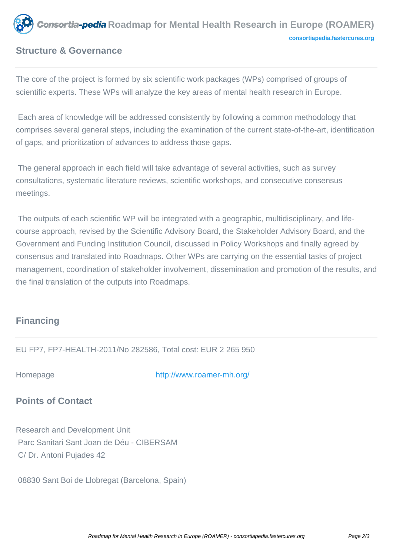

## **Structure & Governance**

The core of the project is formed by six scientific work packages (WPs) comprised of groups of scientific experts. These WPs will analyze the key areas of mental health research in Europe.

 Each area of knowledge will be addressed consistently by following a common methodology that comprises several general steps, including the examination of the current state-of-the-art, identification of gaps, and prioritization of advances to address those gaps.

 The general approach in each field will take advantage of several activities, such as survey consultations, systematic literature reviews, scientific workshops, and consecutive consensus meetings.

 The outputs of each scientific WP will be integrated with a geographic, multidisciplinary, and lifecourse approach, revised by the Scientific Advisory Board, the Stakeholder Advisory Board, and the Government and Funding Institution Council, discussed in Policy Workshops and finally agreed by consensus and translated into Roadmaps. Other WPs are carrying on the essential tasks of project management, coordination of stakeholder involvement, dissemination and promotion of the results, and the final translation of the outputs into Roadmaps.

# **Financing**

EU FP7, FP7-HEALTH-2011/No 282586, Total cost: EUR 2 265 950

Homepage <http://www.roamer-mh.org/>

# **Points of Contact**

Research and Development Unit Parc Sanitari Sant Joan de Déu - CIBERSAM C/ Dr. Antoni Pujades 42

08830 Sant Boi de Llobregat (Barcelona, Spain)